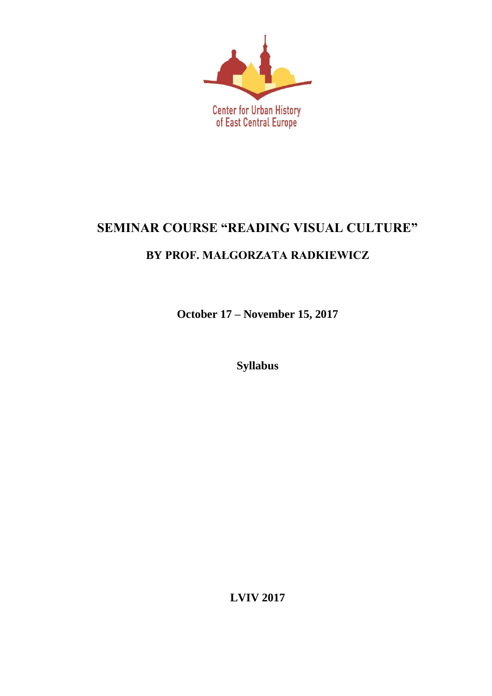

# **SEMINAR COURSE "READING VISUAL CULTURE"**

## **BY PROF. MAŁGORZATA RADKIEWICZ**

**October 17 – November 15, 2017**

**Syllabus**

**LVIV 2017**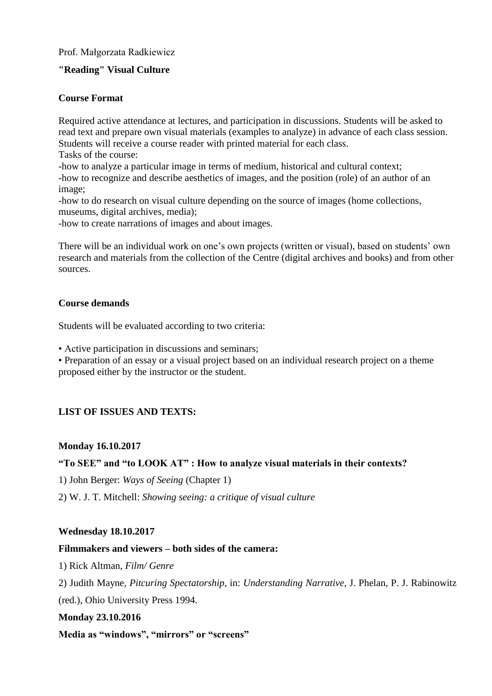#### Prof. Małgorzata Radkiewicz

#### **"Reading" Visual Culture**

#### **Course Format**

Required active attendance at lectures, and participation in discussions. Students will be asked to read text and prepare own visual materials (examples to analyze) in advance of each class session. Students will receive a course reader with printed material for each class.

Tasks of the course:

-how to analyze a particular image in terms of medium, historical and cultural context; -how to recognize and describe aesthetics of images, and the position (role) of an author of an image;

-how to do research on visual culture depending on the source of images (home collections, museums, digital archives, media);

-how to create narrations of images and about images.

There will be an individual work on one's own projects (written or visual), based on students' own research and materials from the collection of the Centre (digital archives and books) and from other sources.

#### **Course demands**

Students will be evaluated according to two criteria:

• Active participation in discussions and seminars;

• Preparation of an essay or a visual project based on an individual research project on a theme proposed either by the instructor or the student.

#### **LIST OF ISSUES AND TEXTS:**

#### **Monday 16.10.2017**

#### **"To SEE" and "to LOOK AT" : How to analyze visual materials in their contexts?**

1) John Berger: *Ways of Seeing* (Chapter 1)

2) W. J. T. Mitchell: *Showing seeing: a critique of visual culture*

#### **Wednesday 18.10.2017**

#### **Filmmakers and viewers – both sides of the camera:**

1) Rick Altman, *Film/ Genre*

2) Judith Mayne, *Pitcuring Spectatorship*, in: *Understanding Narrative*, J. Phelan, P. J. Rabinowitz (red.), Ohio University Press 1994.

#### **Monday 23.10.2016**

**Media as "windows", "mirrors" or "screens"**